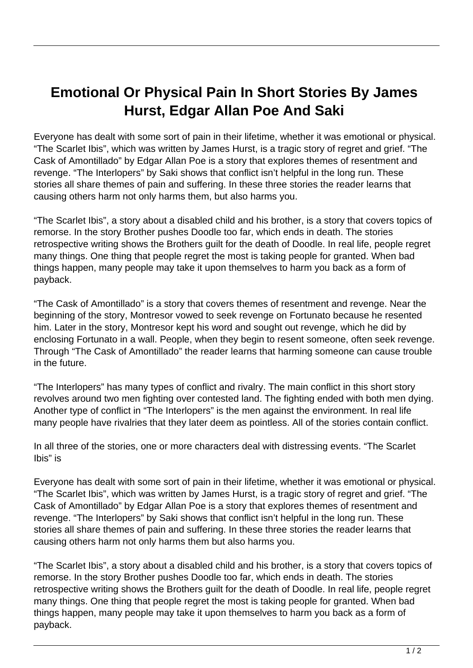## **Emotional Or Physical Pain In Short Stories By James Hurst, Edgar Allan Poe And Saki**

Everyone has dealt with some sort of pain in their lifetime, whether it was emotional or physical. "The Scarlet Ibis", which was written by James Hurst, is a tragic story of regret and grief. "The Cask of Amontillado" by Edgar Allan Poe is a story that explores themes of resentment and revenge. "The Interlopers" by Saki shows that conflict isn't helpful in the long run. These stories all share themes of pain and suffering. In these three stories the reader learns that causing others harm not only harms them, but also harms you.

"The Scarlet Ibis", a story about a disabled child and his brother, is a story that covers topics of remorse. In the story Brother pushes Doodle too far, which ends in death. The stories retrospective writing shows the Brothers guilt for the death of Doodle. In real life, people regret many things. One thing that people regret the most is taking people for granted. When bad things happen, many people may take it upon themselves to harm you back as a form of payback.

"The Cask of Amontillado" is a story that covers themes of resentment and revenge. Near the beginning of the story, Montresor vowed to seek revenge on Fortunato because he resented him. Later in the story, Montresor kept his word and sought out revenge, which he did by enclosing Fortunato in a wall. People, when they begin to resent someone, often seek revenge. Through "The Cask of Amontillado" the reader learns that harming someone can cause trouble in the future.

"The Interlopers" has many types of conflict and rivalry. The main conflict in this short story revolves around two men fighting over contested land. The fighting ended with both men dying. Another type of conflict in "The Interlopers" is the men against the environment. In real life many people have rivalries that they later deem as pointless. All of the stories contain conflict.

In all three of the stories, one or more characters deal with distressing events. "The Scarlet Ibis" is

Everyone has dealt with some sort of pain in their lifetime, whether it was emotional or physical. "The Scarlet Ibis", which was written by James Hurst, is a tragic story of regret and grief. "The Cask of Amontillado" by Edgar Allan Poe is a story that explores themes of resentment and revenge. "The Interlopers" by Saki shows that conflict isn't helpful in the long run. These stories all share themes of pain and suffering. In these three stories the reader learns that causing others harm not only harms them but also harms you.

"The Scarlet Ibis", a story about a disabled child and his brother, is a story that covers topics of remorse. In the story Brother pushes Doodle too far, which ends in death. The stories retrospective writing shows the Brothers guilt for the death of Doodle. In real life, people regret many things. One thing that people regret the most is taking people for granted. When bad things happen, many people may take it upon themselves to harm you back as a form of payback.